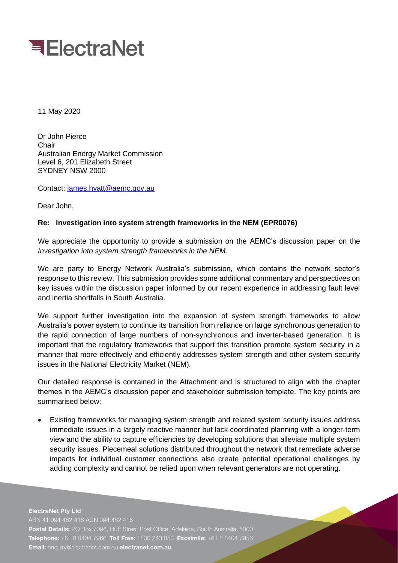

11 May 2020

Dr John Pierce Chair Australian Energy Market Commission Level 6, 201 Elizabeth Street SYDNEY NSW 2000

Contact: [james.hyatt@aemc.gov.au](mailto:james.hyatt@aemc.gov.au)

Dear John,

## **Re: Investigation into system strength frameworks in the NEM (EPR0076)**

We appreciate the opportunity to provide a submission on the AEMC's discussion paper on the *Investigation into system strength frameworks in the NEM*.

We are party to Energy Network Australia's submission, which contains the network sector's response to this review. This submission provides some additional commentary and perspectives on key issues within the discussion paper informed by our recent experience in addressing fault level and inertia shortfalls in South Australia.

We support further investigation into the expansion of system strength frameworks to allow Australia's power system to continue its transition from reliance on large synchronous generation to the rapid connection of large numbers of non-synchronous and inverter-based generation. It is important that the regulatory frameworks that support this transition promote system security in a manner that more effectively and efficiently addresses system strength and other system security issues in the National Electricity Market (NEM).

Our detailed response is contained in the Attachment and is structured to align with the chapter themes in the AEMC's discussion paper and stakeholder submission template. The key points are summarised below:

• Existing frameworks for managing system strength and related system security issues address immediate issues in a largely reactive manner but lack coordinated planning with a longer-term view and the ability to capture efficiencies by developing solutions that alleviate multiple system security issues. Piecemeal solutions distributed throughout the network that remediate adverse impacts for individual customer connections also create potential operational challenges by adding complexity and cannot be relied upon when relevant generators are not operating.

**ElectraNet Pty Ltd** ABN 41 094 482 416 ACN 094 482 416 Postal Details: PO Box 7096, Hutt Street Post Office, Adelaide, South Australia, 5000 Telephone: +61 8 8404 7966 Toll Free: 1800 243 853 Facsimile: +61 8 8404 7956 Email: enquiry@electranet.com.au electranet.com.au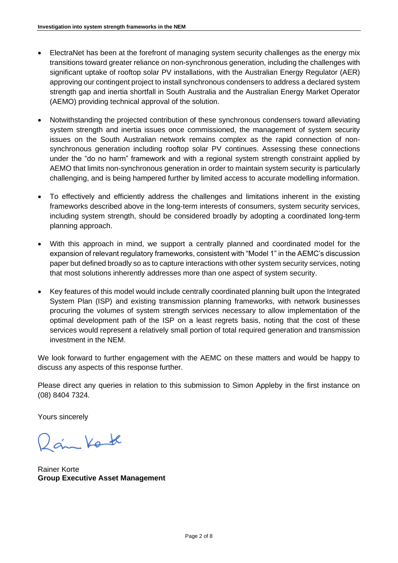- ElectraNet has been at the forefront of managing system security challenges as the energy mix transitions toward greater reliance on non-synchronous generation, including the challenges with significant uptake of rooftop solar PV installations, with the Australian Energy Regulator (AER) approving our contingent project to install synchronous condensers to address a declared system strength gap and inertia shortfall in South Australia and the Australian Energy Market Operator (AEMO) providing technical approval of the solution.
- Notwithstanding the projected contribution of these synchronous condensers toward alleviating system strength and inertia issues once commissioned, the management of system security issues on the South Australian network remains complex as the rapid connection of nonsynchronous generation including rooftop solar PV continues. Assessing these connections under the "do no harm" framework and with a regional system strength constraint applied by AEMO that limits non-synchronous generation in order to maintain system security is particularly challenging, and is being hampered further by limited access to accurate modelling information.
- To effectively and efficiently address the challenges and limitations inherent in the existing frameworks described above in the long-term interests of consumers, system security services, including system strength, should be considered broadly by adopting a coordinated long-term planning approach.
- With this approach in mind, we support a centrally planned and coordinated model for the expansion of relevant regulatory frameworks, consistent with "Model 1" in the AEMC's discussion paper but defined broadly so as to capture interactions with other system security services, noting that most solutions inherently addresses more than one aspect of system security.
- Key features of this model would include centrally coordinated planning built upon the Integrated System Plan (ISP) and existing transmission planning frameworks, with network businesses procuring the volumes of system strength services necessary to allow implementation of the optimal development path of the ISP on a least regrets basis, noting that the cost of these services would represent a relatively small portion of total required generation and transmission investment in the NEM.

We look forward to further engagement with the AEMC on these matters and would be happy to discuss any aspects of this response further.

Please direct any queries in relation to this submission to Simon Appleby in the first instance on (08) 8404 7324.

Yours sincerely

2 am Kot

Rainer Korte **Group Executive Asset Management**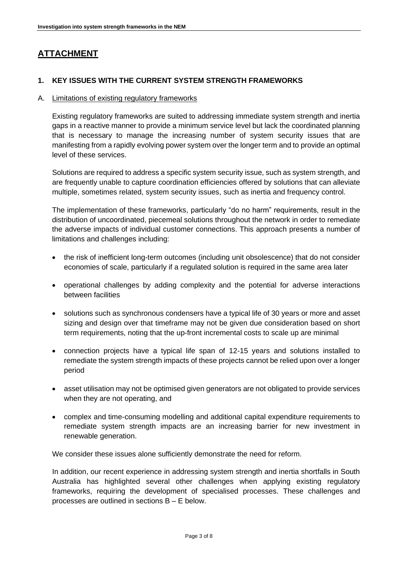# **ATTACHMENT**

# **1. KEY ISSUES WITH THE CURRENT SYSTEM STRENGTH FRAMEWORKS**

#### A. Limitations of existing regulatory frameworks

Existing regulatory frameworks are suited to addressing immediate system strength and inertia gaps in a reactive manner to provide a minimum service level but lack the coordinated planning that is necessary to manage the increasing number of system security issues that are manifesting from a rapidly evolving power system over the longer term and to provide an optimal level of these services.

Solutions are required to address a specific system security issue, such as system strength, and are frequently unable to capture coordination efficiencies offered by solutions that can alleviate multiple, sometimes related, system security issues, such as inertia and frequency control.

The implementation of these frameworks, particularly "do no harm" requirements, result in the distribution of uncoordinated, piecemeal solutions throughout the network in order to remediate the adverse impacts of individual customer connections. This approach presents a number of limitations and challenges including:

- the risk of inefficient long-term outcomes (including unit obsolescence) that do not consider economies of scale, particularly if a regulated solution is required in the same area later
- operational challenges by adding complexity and the potential for adverse interactions between facilities
- solutions such as synchronous condensers have a typical life of 30 years or more and asset sizing and design over that timeframe may not be given due consideration based on short term requirements, noting that the up-front incremental costs to scale up are minimal
- connection projects have a typical life span of 12-15 years and solutions installed to remediate the system strength impacts of these projects cannot be relied upon over a longer period
- asset utilisation may not be optimised given generators are not obligated to provide services when they are not operating, and
- complex and time-consuming modelling and additional capital expenditure requirements to remediate system strength impacts are an increasing barrier for new investment in renewable generation.

We consider these issues alone sufficiently demonstrate the need for reform.

In addition, our recent experience in addressing system strength and inertia shortfalls in South Australia has highlighted several other challenges when applying existing regulatory frameworks, requiring the development of specialised processes. These challenges and processes are outlined in sections B – E below.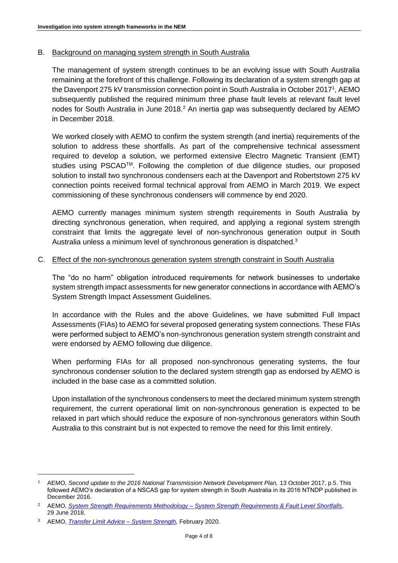## B. Background on managing system strength in South Australia

The management of system strength continues to be an evolving issue with South Australia remaining at the forefront of this challenge. Following its declaration of a system strength gap at the Davenport 275 kV transmission connection point in South Australia in October 2017<sup>1</sup>, AEMO subsequently published the required minimum three phase fault levels at relevant fault level nodes for South Australia in June 2018.<sup>2</sup> An inertia gap was subsequently declared by AEMO in December 2018.

We worked closely with AEMO to confirm the system strength (and inertia) requirements of the solution to address these shortfalls. As part of the comprehensive technical assessment required to develop a solution, we performed extensive Electro Magnetic Transient (EMT) studies using PSCAD<sup>™</sup>. Following the completion of due diligence studies, our proposed solution to install two synchronous condensers each at the Davenport and Robertstown 275 kV connection points received formal technical approval from AEMO in March 2019. We expect commissioning of these synchronous condensers will commence by end 2020.

AEMO currently manages minimum system strength requirements in South Australia by directing synchronous generation, when required, and applying a regional system strength constraint that limits the aggregate level of non-synchronous generation output in South Australia unless a minimum level of synchronous generation is dispatched.<sup>3</sup>

#### C. Effect of the non-synchronous generation system strength constraint in South Australia

The "do no harm" obligation introduced requirements for network businesses to undertake system strength impact assessments for new generator connections in accordance with AEMO's System Strength Impact Assessment Guidelines.

In accordance with the Rules and the above Guidelines, we have submitted Full Impact Assessments (FIAs) to AEMO for several proposed generating system connections. These FIAs were performed subject to AEMO's non-synchronous generation system strength constraint and were endorsed by AEMO following due diligence.

When performing FIAs for all proposed non-synchronous generating systems, the four synchronous condenser solution to the declared system strength gap as endorsed by AEMO is included in the base case as a committed solution.

Upon installation of the synchronous condensers to meet the declared minimum system strength requirement, the current operational limit on non-synchronous generation is expected to be relaxed in part which should reduce the exposure of non-synchronous generators within South Australia to this constraint but is not expected to remove the need for this limit entirely.

<sup>1</sup> AEMO, *Second update to the 2016 National Transmission Network Development Plan,* 13 October 2017, p.5. This followed AEMO's declaration of a NSCAS gap for system strength in South Australia in its 2016 NTNDP published in December 2016.

<sup>2</sup> AEMO, *System Strength Requirements Methodology – [System Strength Requirements & Fault Level Shortfalls](https://www.aemo.com.au/-/media/Files/Electricity/NEM/Security_and_Reliability/System-Security-Market-Frameworks-Review/2018/System_Strength_Requirements_Methodology_PUBLISHED.pdf)*, 29 June 2018.

<sup>3</sup> AEMO, *[Transfer Limit Advice –](https://aemo.com.au/-/media/files/electricity/nem/security_and_reliability/congestion-information/transfer-limit-advice-system-strength.pdf?la=en) System Strength,* February 2020.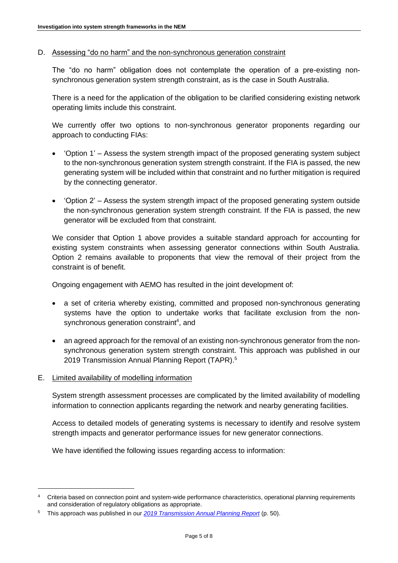D. Assessing "do no harm" and the non-synchronous generation constraint

The "do no harm" obligation does not contemplate the operation of a pre-existing nonsynchronous generation system strength constraint, as is the case in South Australia.

There is a need for the application of the obligation to be clarified considering existing network operating limits include this constraint.

We currently offer two options to non-synchronous generator proponents regarding our approach to conducting FIAs:

- 'Option 1' Assess the system strength impact of the proposed generating system subject to the non-synchronous generation system strength constraint. If the FIA is passed, the new generating system will be included within that constraint and no further mitigation is required by the connecting generator.
- 'Option 2' Assess the system strength impact of the proposed generating system outside the non-synchronous generation system strength constraint. If the FIA is passed, the new generator will be excluded from that constraint.

We consider that Option 1 above provides a suitable standard approach for accounting for existing system constraints when assessing generator connections within South Australia. Option 2 remains available to proponents that view the removal of their project from the constraint is of benefit.

Ongoing engagement with AEMO has resulted in the joint development of:

- a set of criteria whereby existing, committed and proposed non-synchronous generating systems have the option to undertake works that facilitate exclusion from the nonsynchronous generation constraint<sup>4</sup>, and
- an agreed approach for the removal of an existing non-synchronous generator from the nonsynchronous generation system strength constraint. This approach was published in our 2019 Transmission Annual Planning Report (TAPR).<sup>5</sup>
- E. Limited availability of modelling information

System strength assessment processes are complicated by the limited availability of modelling information to connection applicants regarding the network and nearby generating facilities.

Access to detailed models of generating systems is necessary to identify and resolve system strength impacts and generator performance issues for new generator connections.

We have identified the following issues regarding access to information:

<sup>4</sup> Criteria based on connection point and system-wide performance characteristics, operational planning requirements and consideration of regulatory obligations as appropriate.

<sup>5</sup> This approach was published in our *[2019 Transmission Annual Planning Report](https://www.electranet.com.au/wp-content/uploads/2019/06/2019-ElectraNet-TAPR_WEB.pdf)* (p. 50).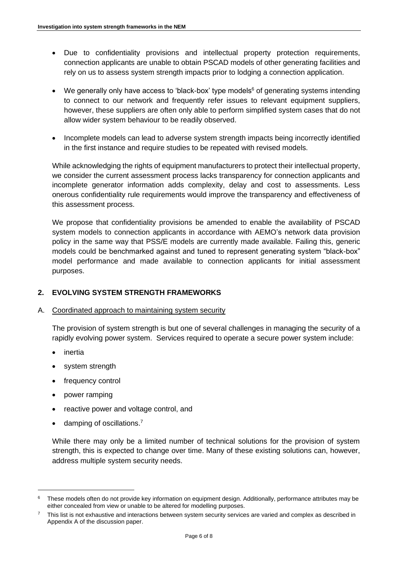- Due to confidentiality provisions and intellectual property protection requirements, connection applicants are unable to obtain PSCAD models of other generating facilities and rely on us to assess system strength impacts prior to lodging a connection application.
- We generally only have access to 'black-box' type models<sup>6</sup> of generating systems intending to connect to our network and frequently refer issues to relevant equipment suppliers, however, these suppliers are often only able to perform simplified system cases that do not allow wider system behaviour to be readily observed.
- Incomplete models can lead to adverse system strength impacts being incorrectly identified in the first instance and require studies to be repeated with revised models.

While acknowledging the rights of equipment manufacturers to protect their intellectual property, we consider the current assessment process lacks transparency for connection applicants and incomplete generator information adds complexity, delay and cost to assessments. Less onerous confidentiality rule requirements would improve the transparency and effectiveness of this assessment process.

We propose that confidentiality provisions be amended to enable the availability of PSCAD system models to connection applicants in accordance with AEMO's network data provision policy in the same way that PSS/E models are currently made available. Failing this, generic models could be benchmarked against and tuned to represent generating system "black-box" model performance and made available to connection applicants for initial assessment purposes.

# **2. EVOLVING SYSTEM STRENGTH FRAMEWORKS**

## A. Coordinated approach to maintaining system security

The provision of system strength is but one of several challenges in managing the security of a rapidly evolving power system. Services required to operate a secure power system include:

- inertia
- system strength
- frequency control
- power ramping
- reactive power and voltage control, and
- damping of oscillations.<sup>7</sup>

While there may only be a limited number of technical solutions for the provision of system strength, this is expected to change over time. Many of these existing solutions can, however, address multiple system security needs.

<sup>&</sup>lt;sup>6</sup> These models often do not provide key information on equipment design. Additionally, performance attributes may be either concealed from view or unable to be altered for modelling purposes.

<sup>7</sup> This list is not exhaustive and interactions between system security services are varied and complex as described in Appendix A of the discussion paper.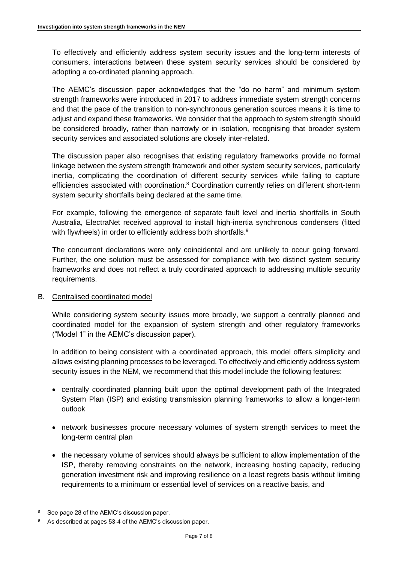To effectively and efficiently address system security issues and the long-term interests of consumers, interactions between these system security services should be considered by adopting a co-ordinated planning approach.

The AEMC's discussion paper acknowledges that the "do no harm" and minimum system strength frameworks were introduced in 2017 to address immediate system strength concerns and that the pace of the transition to non-synchronous generation sources means it is time to adjust and expand these frameworks. We consider that the approach to system strength should be considered broadly, rather than narrowly or in isolation, recognising that broader system security services and associated solutions are closely inter-related.

The discussion paper also recognises that existing regulatory frameworks provide no formal linkage between the system strength framework and other system security services, particularly inertia, complicating the coordination of different security services while failing to capture efficiencies associated with coordination.<sup>8</sup> Coordination currently relies on different short-term system security shortfalls being declared at the same time.

For example, following the emergence of separate fault level and inertia shortfalls in South Australia, ElectraNet received approval to install high-inertia synchronous condensers (fitted with flywheels) in order to efficiently address both shortfalls.<sup>9</sup>

The concurrent declarations were only coincidental and are unlikely to occur going forward. Further, the one solution must be assessed for compliance with two distinct system security frameworks and does not reflect a truly coordinated approach to addressing multiple security requirements.

## B. Centralised coordinated model

While considering system security issues more broadly, we support a centrally planned and coordinated model for the expansion of system strength and other regulatory frameworks ("Model 1" in the AEMC's discussion paper).

In addition to being consistent with a coordinated approach, this model offers simplicity and allows existing planning processes to be leveraged. To effectively and efficiently address system security issues in the NEM, we recommend that this model include the following features:

- centrally coordinated planning built upon the optimal development path of the Integrated System Plan (ISP) and existing transmission planning frameworks to allow a longer-term outlook
- network businesses procure necessary volumes of system strength services to meet the long-term central plan
- the necessary volume of services should always be sufficient to allow implementation of the ISP, thereby removing constraints on the network, increasing hosting capacity, reducing generation investment risk and improving resilience on a least regrets basis without limiting requirements to a minimum or essential level of services on a reactive basis, and

<sup>&</sup>lt;sup>8</sup> See page 28 of the AEMC's discussion paper.

As described at pages 53-4 of the AEMC's discussion paper.